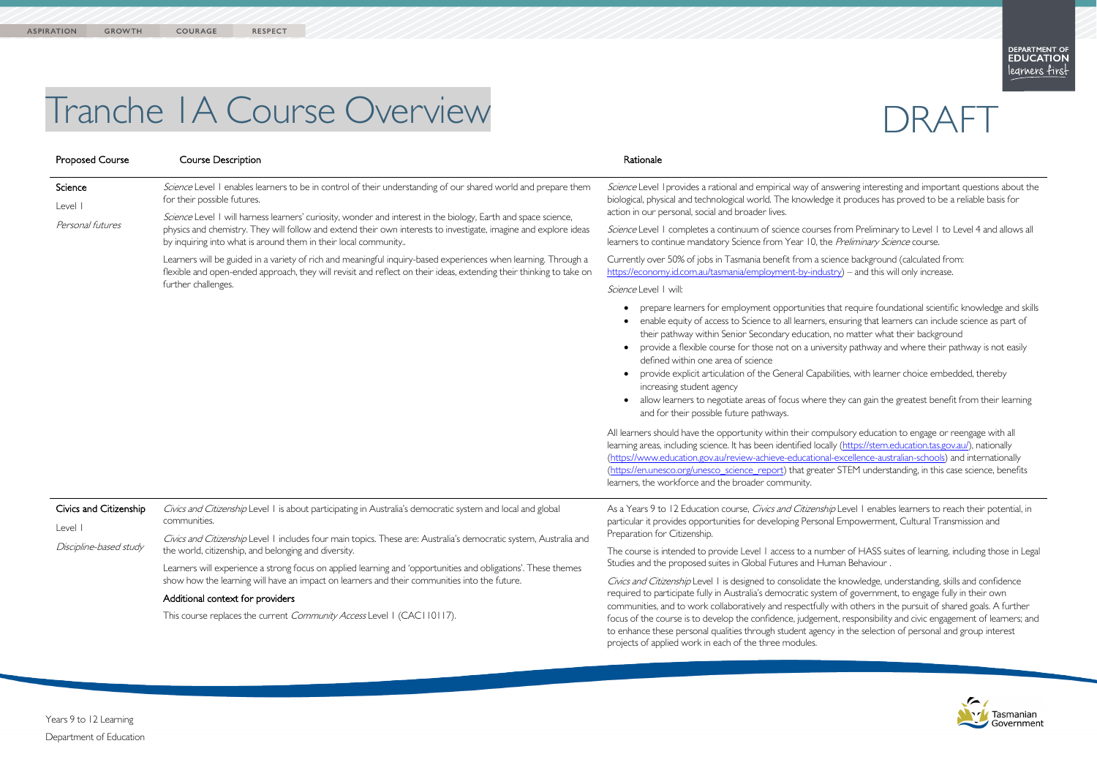

## Tranche 1A Course Overview

| <b>Proposed Course</b>                                      | <b>Course Description</b>                                                                                                                                                                                                                                                                                                                                                                                                                            | Rationale                                                                                                                                                                                                                                                                                                                                                                                                                               |
|-------------------------------------------------------------|------------------------------------------------------------------------------------------------------------------------------------------------------------------------------------------------------------------------------------------------------------------------------------------------------------------------------------------------------------------------------------------------------------------------------------------------------|-----------------------------------------------------------------------------------------------------------------------------------------------------------------------------------------------------------------------------------------------------------------------------------------------------------------------------------------------------------------------------------------------------------------------------------------|
| Science<br>Level I<br>Personal futures                      | Science Level I enables learners to be in control of their understanding of our shared world and prepare them<br>for their possible futures.<br>Science Level I will harness learners' curiosity, wonder and interest in the biology, Earth and space science,<br>physics and chemistry. They will follow and extend their own interests to investigate, imagine and explore ideas<br>by inquiring into what is around them in their local community | Science Level I provides a rational and empirical way of an<br>biological, physical and technological world. The knowledge<br>action in our personal, social and broader lives.<br>Science Level 1 completes a continuum of science courses                                                                                                                                                                                             |
|                                                             |                                                                                                                                                                                                                                                                                                                                                                                                                                                      | learners to continue mandatory Science from Year 10, the                                                                                                                                                                                                                                                                                                                                                                                |
|                                                             | Learners will be guided in a variety of rich and meaningful inquiry-based experiences when learning. Through a<br>flexible and open-ended approach, they will revisit and reflect on their ideas, extending their thinking to take on<br>further challenges.                                                                                                                                                                                         | Currently over 50% of jobs in Tasmania benefit from a sci<br>https://economy.id.com.au/tasmania/employment-by-indus                                                                                                                                                                                                                                                                                                                     |
|                                                             |                                                                                                                                                                                                                                                                                                                                                                                                                                                      | Science Level   will:                                                                                                                                                                                                                                                                                                                                                                                                                   |
|                                                             |                                                                                                                                                                                                                                                                                                                                                                                                                                                      | prepare learners for employment opportunities t<br>enable equity of access to Science to all learners,<br>their pathway within Senior Secondary education<br>provide a flexible course for those not on a unive<br>defined within one area of science<br>provide explicit articulation of the General Capab<br>increasing student agency<br>allow learners to negotiate areas of focus where<br>and for their possible future pathways. |
|                                                             |                                                                                                                                                                                                                                                                                                                                                                                                                                                      | All learners should have the opportunity within their comp<br>learning areas, including science. It has been identified local<br>(https://www.education.gov.au/review-achieve-educationa<br>(https://en.unesco.org/unesco science report) that greate<br>learners, the workforce and the broader community.                                                                                                                             |
| Civics and Citizenship<br>Level I<br>Discipline-based study | Civics and Citizenship Level 1 is about participating in Australia's democratic system and local and global<br>communities.                                                                                                                                                                                                                                                                                                                          | As a Years 9 to 12 Education course, Civics and Citizenshi<br>particular it provides opportunities for developing Persona                                                                                                                                                                                                                                                                                                               |
|                                                             | Civics and Citizenship Level 1 includes four main topics. These are: Australia's democratic system, Australia and<br>the world, citizenship, and belonging and diversity.<br>Learners will experience a strong focus on applied learning and 'opportunities and obligations'. These themes                                                                                                                                                           | Preparation for Citizenship.<br>The course is intended to provide Level I access to a num                                                                                                                                                                                                                                                                                                                                               |
|                                                             |                                                                                                                                                                                                                                                                                                                                                                                                                                                      | Studies and the proposed suites in Global Futures and Hui                                                                                                                                                                                                                                                                                                                                                                               |
|                                                             | show how the learning will have an impact on learners and their communities into the future.                                                                                                                                                                                                                                                                                                                                                         | Civics and Citizenship Level 1 is designed to consolidate the<br>required to participate fully in Australia's democratic syste<br>communities, and to work collaboratively and respectfully<br>focus of the course is to develop the confidence, judgeme<br>to enhance these personal qualities through student agend<br>projects of applied work in each of the three modules.                                                         |
|                                                             | Additional context for providers<br>This course replaces the current Community Access Level 1 (CAC110117).                                                                                                                                                                                                                                                                                                                                           |                                                                                                                                                                                                                                                                                                                                                                                                                                         |

## DRAFT

swering interesting and important questions about the e it produces has proved to be a reliable basis for

Strom Preliminary to Level 1 to Level 4 and allows all e Preliminary Science course.

cience background (calculated from: stry) – and this will only increase.

that require foundational scientific knowledge and skills ensuring that learners can include science as part of , no matter what their background ersity pathway and where their pathway is not easily

bilities, with learner choice embedded, thereby

they can gain the greatest benefit from their learning

pulsory education to engage or reengage with all lly [\(https://stem.education.tas.gov.au/\)](https://stem.education.tas.gov.au/), nationally (https://excellence-australian-schools) and internationally er STEM understanding, in this case science, benefits

 $\dot{\rho}$  Level 1 enables learners to reach their potential, in al Empowerment, Cultural Transmission and

nber of HASS suites of learning, including those in Legal man Behaviour .

ne knowledge, understanding, skills and confidence m of government, to engage fully in their own with others in the pursuit of shared goals. A further ent, responsibility and civic engagement of learners; and ty in the selection of personal and group interest

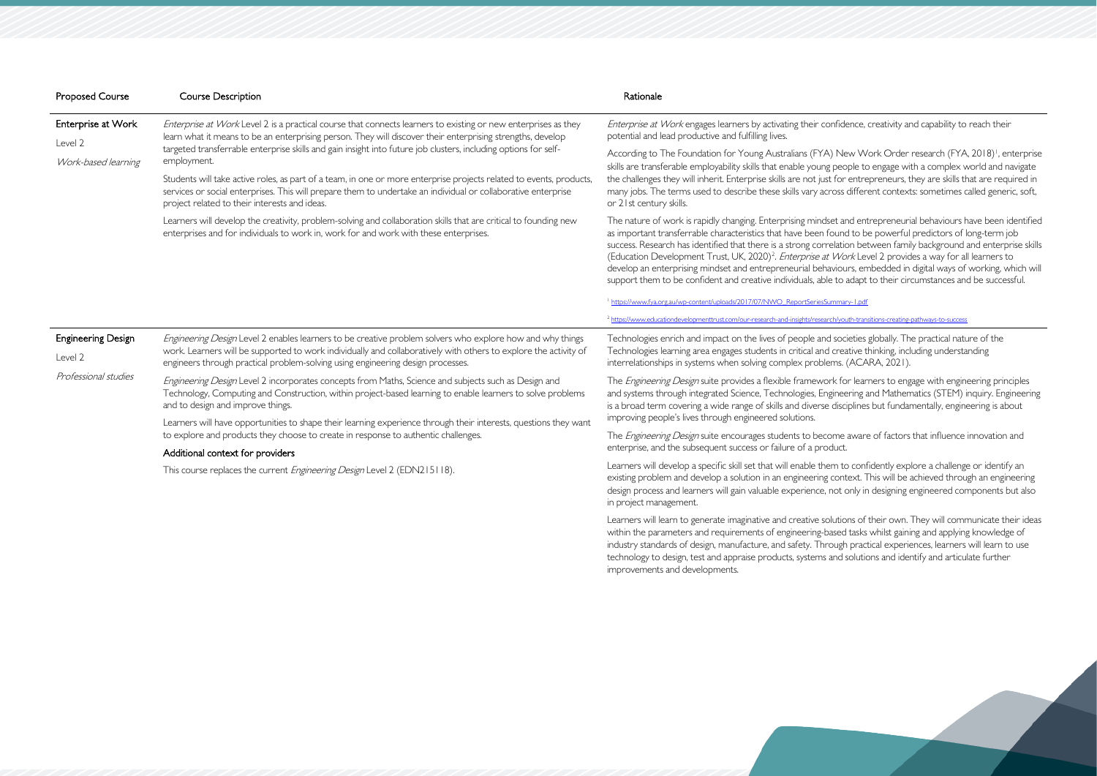| <b>Proposed Course</b>                                       | <b>Course Description</b>                                                                                                                                                                                                                                                                                                                                      | Rationale                                                                                                                                                                                                                                                                                                                                                                                                                                                                                                                                                                                                                                                                                                          |  |
|--------------------------------------------------------------|----------------------------------------------------------------------------------------------------------------------------------------------------------------------------------------------------------------------------------------------------------------------------------------------------------------------------------------------------------------|--------------------------------------------------------------------------------------------------------------------------------------------------------------------------------------------------------------------------------------------------------------------------------------------------------------------------------------------------------------------------------------------------------------------------------------------------------------------------------------------------------------------------------------------------------------------------------------------------------------------------------------------------------------------------------------------------------------------|--|
| Enterprise at Work<br>Level 2<br>Work-based learning         | Enterprise at Work Level 2 is a practical course that connects learners to existing or new enterprises as they<br>learn what it means to be an enterprising person. They will discover their enterprising strengths, develop<br>targeted transferrable enterprise skills and gain insight into future job clusters, including options for self-<br>employment. | Enterprise at Work engages learners by activating their confidence, creativity and capability to reach their<br>potential and lead productive and fulfilling lives.                                                                                                                                                                                                                                                                                                                                                                                                                                                                                                                                                |  |
|                                                              |                                                                                                                                                                                                                                                                                                                                                                | According to The Foundation for Young Australians (FYA) New Work Order research (FYA, 2018) <sup>1</sup> , enterprise<br>skills are transferable employability skills that enable young people to engage with a complex world and navigate<br>the challenges they will inherit. Enterprise skills are not just for entrepreneurs, they are skills that are required in<br>many jobs. The terms used to describe these skills vary across different contexts: sometimes called generic, soft,<br>or 21st century skills.                                                                                                                                                                                            |  |
|                                                              | Students will take active roles, as part of a team, in one or more enterprise projects related to events, products,<br>services or social enterprises. This will prepare them to undertake an individual or collaborative enterprise<br>project related to their interests and ideas.                                                                          |                                                                                                                                                                                                                                                                                                                                                                                                                                                                                                                                                                                                                                                                                                                    |  |
|                                                              | Learners will develop the creativity, problem-solving and collaboration skills that are critical to founding new<br>enterprises and for individuals to work in, work for and work with these enterprises.                                                                                                                                                      | The nature of work is rapidly changing. Enterprising mindset and entrepreneurial behaviours have been identified<br>as important transferrable characteristics that have been found to be powerful predictors of long-term job<br>success. Research has identified that there is a strong correlation between family background and enterprise skills<br>(Education Development Trust, UK, 2020) <sup>2</sup> . Enterprise at Work Level 2 provides a way for all learners to<br>develop an enterprising mindset and entrepreneurial behaviours, embedded in digital ways of working, which will<br>support them to be confident and creative individuals, able to adapt to their circumstances and be successful. |  |
|                                                              |                                                                                                                                                                                                                                                                                                                                                                | https://www.fya.org.au/wp-content/uploads/2017/07/NWO_ReportSeriesSummary-1.pdf                                                                                                                                                                                                                                                                                                                                                                                                                                                                                                                                                                                                                                    |  |
|                                                              |                                                                                                                                                                                                                                                                                                                                                                | <sup>2</sup> https://www.educationdevelopmenttrust.com/our-research-and-insights/research/youth-transitions-creating-pathways-to-success                                                                                                                                                                                                                                                                                                                                                                                                                                                                                                                                                                           |  |
| <b>Engineering Design</b><br>Level 2<br>Professional studies | Engineering Design Level 2 enables learners to be creative problem solvers who explore how and why things<br>work. Learners will be supported to work individually and collaboratively with others to explore the activity of<br>engineers through practical problem-solving using engineering design processes.                                               | Technologies enrich and impact on the lives of people and societies globally. The practical nature of the<br>Technologies learning area engages students in critical and creative thinking, including understanding<br>interrelationships in systems when solving complex problems. (ACARA, 2021).                                                                                                                                                                                                                                                                                                                                                                                                                 |  |
|                                                              | Engineering Design Level 2 incorporates concepts from Maths, Science and subjects such as Design and<br>Technology, Computing and Construction, within project-based learning to enable learners to solve problems<br>and to design and improve things.                                                                                                        | The <i>Engineering Design</i> suite provides a flexible framework for learners to engage with engineering principles<br>and systems through integrated Science, Technologies, Engineering and Mathematics (STEM) inquiry. Engineering<br>is a broad term covering a wide range of skills and diverse disciplines but fundamentally, engineering is about                                                                                                                                                                                                                                                                                                                                                           |  |
|                                                              | Learners will have opportunities to shape their learning experience through their interests, questions they want                                                                                                                                                                                                                                               | improving people's lives through engineered solutions.                                                                                                                                                                                                                                                                                                                                                                                                                                                                                                                                                                                                                                                             |  |
|                                                              | to explore and products they choose to create in response to authentic challenges.<br>Additional context for providers                                                                                                                                                                                                                                         | The <i>Engineering Design</i> suite encourages students to become aware of factors that influence innovation and<br>enterprise, and the subsequent success or failure of a product.                                                                                                                                                                                                                                                                                                                                                                                                                                                                                                                                |  |
|                                                              | This course replaces the current Engineering Design Level 2 (EDN215118).                                                                                                                                                                                                                                                                                       | Learners will develop a specific skill set that will enable them to confidently explore a challenge or identify an<br>existing problem and develop a solution in an engineering context. This will be achieved through an engineering<br>design process and learners will gain valuable experience, not only in designing engineered components but also<br>in project management.                                                                                                                                                                                                                                                                                                                                 |  |

Learners will learn to generate imaginative and creative solutions of their own. They will communicate their ideas within the parameters and requirements of engineering-based tasks whilst gaining and applying knowledge of industry standards of design, manufacture, and safety. Through practical experiences, learners will learn to use technology to design, test and appraise products, systems and solutions and identify and articulate further improvements and developments.